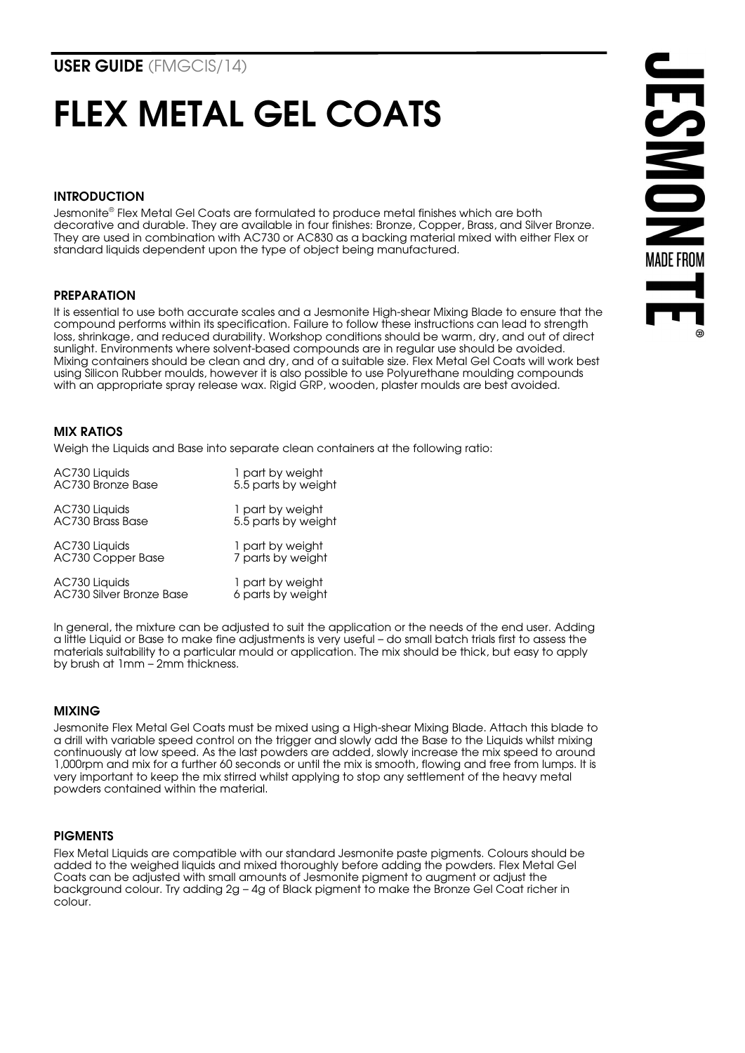# FLEX METAL GEL COATS

# INTRODUCTION

Jesmonite® Flex Metal Gel Coats are formulated to produce metal finishes which are both decorative and durable. They are available in four finishes: Bronze, Copper, Brass, and Silver Bronze. They are used in combination with AC730 or AC830 as a backing material mixed with either Flex or standard liquids dependent upon the type of object being manufactured.

# PREPARATION

It is essential to use both accurate scales and a Jesmonite High-shear Mixing Blade to ensure that the compound performs within its specification. Failure to follow these instructions can lead to strength loss, shrinkage, and reduced durability. Workshop conditions should be warm, dry, and out of direct sunlight. Environments where solvent-based compounds are in regular use should be avoided. Mixing containers should be clean and dry, and of a suitable size. Flex Metal Gel Coats will work best using Silicon Rubber moulds, however it is also possible to use Polyurethane moulding compounds with an appropriate spray release wax. Rigid GRP, wooden, plaster moulds are best avoided.



## MIX RATIOS

Weigh the Liquids and Base into separate clean containers at the following ratio:

| AC730 Liquids            | 1 part by weight    |
|--------------------------|---------------------|
| AC730 Bronze Base        | 5.5 parts by weight |
| AC730 Liquids            | 1 part by weight    |
| <b>AC730 Brass Base</b>  | 5.5 parts by weight |
| AC730 Liquids            | 1 part by weight    |
| AC730 Copper Base        | 7 parts by weight   |
| AC730 Liquids            | 1 part by weight    |
| AC730 Silver Bronze Base | 6 parts by weight   |

In general, the mixture can be adjusted to suit the application or the needs of the end user. Adding a little Liquid or Base to make fine adjustments is very useful – do small batch trials first to assess the materials suitability to a particular mould or application. The mix should be thick, but easy to apply by brush at 1mm – 2mm thickness.

# MIXING

Jesmonite Flex Metal Gel Coats must be mixed using a High-shear Mixing Blade. Attach this blade to a drill with variable speed control on the trigger and slowly add the Base to the Liquids whilst mixing continuously at low speed. As the last powders are added, slowly increase the mix speed to around 1,000rpm and mix for a further 60 seconds or until the mix is smooth, flowing and free from lumps. It is very important to keep the mix stirred whilst applying to stop any settlement of the heavy metal powders contained within the material.

#### **PIGMENTS**

Flex Metal Liquids are compatible with our standard Jesmonite paste pigments. Colours should be added to the weighed liquids and mixed thoroughly before adding the powders. Flex Metal Gel Coats can be adjusted with small amounts of Jesmonite pigment to augment or adjust the background colour. Try adding 2g – 4g of Black pigment to make the Bronze Gel Coat richer in colour.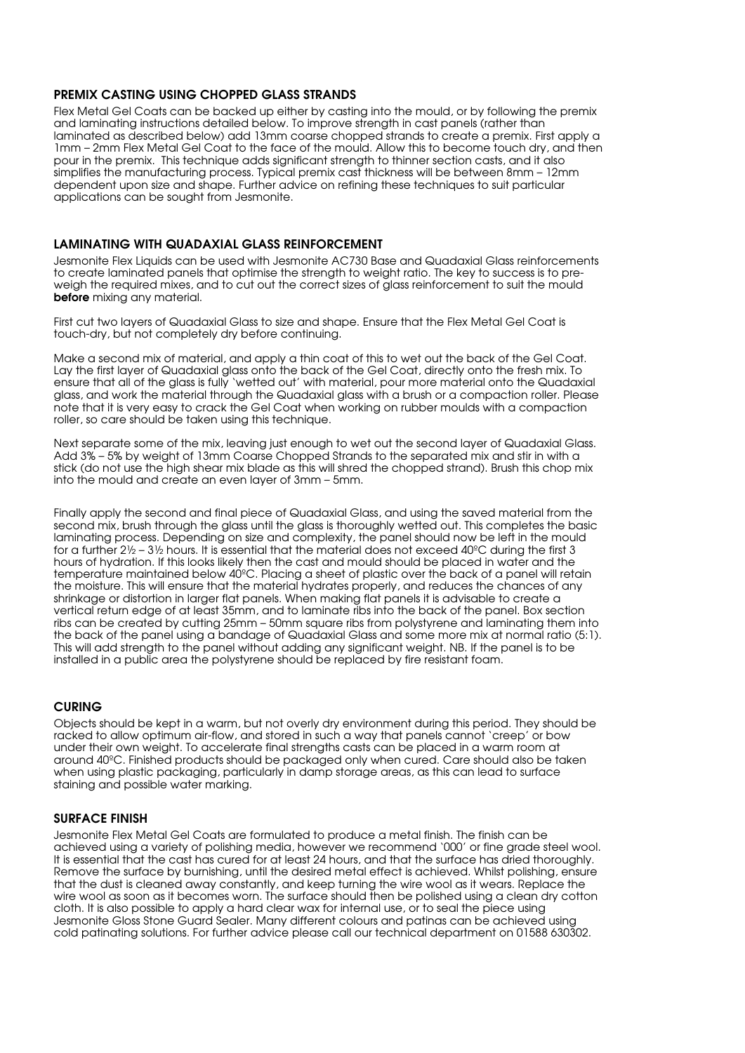## PREMIX CASTING USING CHOPPED GLASS STRANDS

Flex Metal Gel Coats can be backed up either by casting into the mould, or by following the premix and laminating instructions detailed below. To improve strength in cast panels (rather than laminated as described below) add 13mm coarse chopped strands to create a premix. First apply a 1mm – 2mm Flex Metal Gel Coat to the face of the mould. Allow this to become touch dry, and then pour in the premix. This technique adds significant strength to thinner section casts, and it also simplifies the manufacturing process. Typical premix cast thickness will be between 8mm – 12mm dependent upon size and shape. Further advice on refining these techniques to suit particular applications can be sought from Jesmonite.

### LAMINATING WITH QUADAXIAL GLASS REINFORCEMENT

Jesmonite Flex Liquids can be used with Jesmonite AC730 Base and Quadaxial Glass reinforcements to create laminated panels that optimise the strength to weight ratio. The key to success is to preweigh the required mixes, and to cut out the correct sizes of glass reinforcement to suit the mould before mixing any material.

First cut two layers of Quadaxial Glass to size and shape. Ensure that the Flex Metal Gel Coat is touch-dry, but not completely dry before continuing.

Make a second mix of material, and apply a thin coat of this to wet out the back of the Gel Coat. Lay the first layer of Quadaxial glass onto the back of the Gel Coat, directly onto the fresh mix. To ensure that all of the glass is fully 'wetted out' with material, pour more material onto the Quadaxial glass, and work the material through the Quadaxial glass with a brush or a compaction roller. Please note that it is very easy to crack the Gel Coat when working on rubber moulds with a compaction roller, so care should be taken using this technique.

Next separate some of the mix, leaving just enough to wet out the second layer of Quadaxial Glass. Add 3% – 5% by weight of 13mm Coarse Chopped Strands to the separated mix and stir in with a stick (do not use the high shear mix blade as this will shred the chopped strand). Brush this chop mix into the mould and create an even layer of 3mm – 5mm.

Finally apply the second and final piece of Quadaxial Glass, and using the saved material from the second mix, brush through the glass until the glass is thoroughly wetted out. This completes the basic laminating process. Depending on size and complexity, the panel should now be left in the mould for a further  $2\frac{1}{2}$  –  $3\frac{1}{2}$  hours. It is essential that the material does not exceed 40<sup>o</sup>C during the first 3 hours of hydration. If this looks likely then the cast and mould should be placed in water and the temperature maintained below 40ºC. Placing a sheet of plastic over the back of a panel will retain the moisture. This will ensure that the material hydrates properly, and reduces the chances of any shrinkage or distortion in larger flat panels. When making flat panels it is advisable to create a vertical return edge of at least 35mm, and to laminate ribs into the back of the panel. Box section ribs can be created by cutting 25mm – 50mm square ribs from polystyrene and laminating them into the back of the panel using a bandage of Quadaxial Glass and some more mix at normal ratio (5:1). This will add strength to the panel without adding any significant weight. NB. If the panel is to be installed in a public area the polystyrene should be replaced by fire resistant foam.

#### CURING

Objects should be kept in a warm, but not overly dry environment during this period. They should be racked to allow optimum air-flow, and stored in such a way that panels cannot 'creep' or bow under their own weight. To accelerate final strengths casts can be placed in a warm room at around 40ºC. Finished products should be packaged only when cured. Care should also be taken when using plastic packaging, particularly in damp storage areas, as this can lead to surface staining and possible water marking.

### SURFACE FINISH

Jesmonite Flex Metal Gel Coats are formulated to produce a metal finish. The finish can be achieved using a variety of polishing media, however we recommend '000' or fine grade steel wool. It is essential that the cast has cured for at least 24 hours, and that the surface has dried thoroughly. Remove the surface by burnishing, until the desired metal effect is achieved. Whilst polishing, ensure that the dust is cleaned away constantly, and keep turning the wire wool as it wears. Replace the wire wool as soon as it becomes worn. The surface should then be polished using a clean dry cotton cloth. It is also possible to apply a hard clear wax for internal use, or to seal the piece using Jesmonite Gloss Stone Guard Sealer. Many different colours and patinas can be achieved using cold patinating solutions. For further advice please call our technical department on 01588 630302.